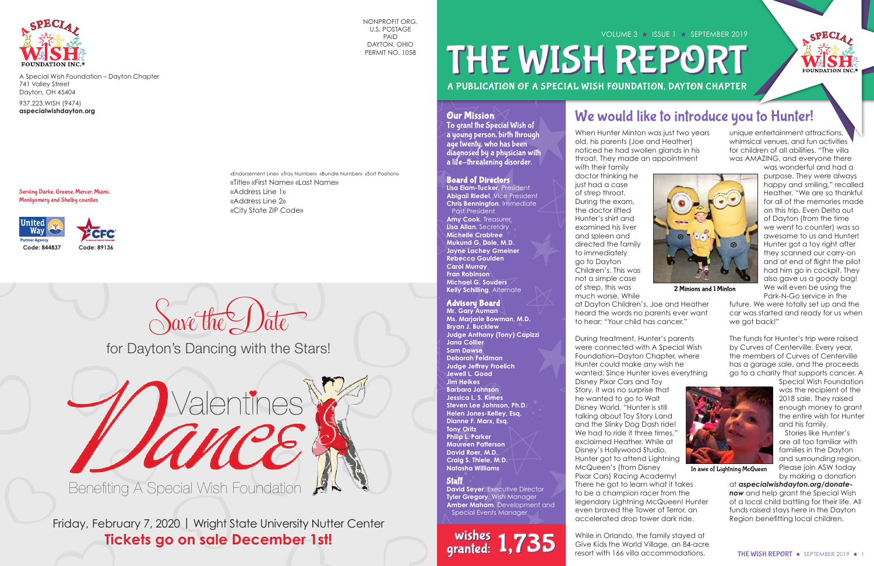

A Special Wish Foundation – Dayton Chapter 741 Valley Street Dayton, OH 45404

937.223.WISH (9474) **aspecialwishdayton.org**

A PUBLICATION OF A SPECIAL WISH FOUNDATION, DAYTON CHAPTER VOLUME 3 ★ ISSUE 1 ★ SEPTEMBER 2019 THE WISH REPORT

Serving Darke, Greene, Mercer, Miami, Montgomery and Shelby counties



NONPROFIT ORG. U.S. POSTAGE PAID DAYTON, OHIO PERMIT NO. 1058

«Endorsement Line» «Tray Number» «Bundle Number» «Sort Position»

«Title» «First Name» «Last Name»

«Address Line 1» «Address Line 2» «City State ZIP Code»

When Hunter Minton was just two years old, his parents (Joe and Heather) noticed he had swollen glands in his throat. They made an appointment with their family doctor thinking he just had a case of strep throat. During the exam, the doctor lifted Hunter's shirt and examined his liver and spleen and directed the family to immediately go to Dayton Children's. This was not a simple case of strep, this was much worse. While at Dayton Children's, Joe and Heather heard the words no parents ever want to hear: "Your child has cancer."

During treatment, Hunter's parents were connected with A Special Wish Foundation–Dayton Chapter, where Hunter could make any wish he wanted. Since Hunter loves everything Disney Pixar Cars and Toy Story, it was no surprise that he wanted to go to Walt Disney World. "Hunter is still talking about Toy Story Land and the Slinky Dog Dash ride! We had to ride it three times,' exclaimed Heather. While at Disney's Hollywood Studio, Hunter got to attend Lightning McQueen's (from Disney Pixar Cars) Racing Academy! There he got to learn what it takes to be a champion racer from the legendary Lightning McQueen! Hunter even braved the Tower of Terror, an accelerated drop tower dark ride.

While in Orlando, the family stayed at Give Kids the World Village, an 84-acre resort with 166 villa accommodations,

 $S$ ave the Date

unique entertainment attractions, whimsical venues, and fun activities for children of all abilities. "The villa was AMAZING, and everyone there

**David Seyer**, Executive Director **Tyler Gregory**, Wish Manager **Amber Maham**, Development and Special Events Manager

wishes 1,735 wishes<br>granted:

was wonderful and had a purpose. They were always happy and smiling," recalled Heather. "We are so thankful for all of the memories made on this trip. Even Delta out of Dayton (from the time we went to counter) was so awesome to us and Hunter! Hunter got a toy right after they scanned our carry-on and at end of flight the pilot had him go in cockpit. They also gave us a goody bag! We will even be using the

Park-N-Go service in the future. We were totally set up and the car was started and ready for us when we got back!"

The funds for Hunter's trip were raised by Curves of Centerville. Every year, the members of Curves of Centerville has a garage sale, and the proceeds go to a charity that supports cancer. A



 Stories like Hunter's are all too familiar with families in the Dayton and surrounding region. Please join ASW today by making a donation

at *aspecialwishdayton.org/donate***now** and help grant the Special Wish of a local child battling for their life. All funds raised stays here in the Dayton Region benefitting local children.



In awe of Lightning McQueen



2 Minions and 1 Minton

# We would like to introduce you to Hunter!

Friday, February 7, 2020 | Wright State University Nutter Center **Tickets go on sale December 1st!**



for Dayton's Dancing with the Stars!



Benefiting A Special Wish Foundation

# Board of Directors

**Lisa Elam-Tucker**, President **Abigail Riedel**, Vice President **Chris Bennington**, Immediate Past President

**Amy Cook**, Treasurer **Lisa Allan**, Secretary **Michelle Crabtree Mukund G. Dole, M.D. Jayne Lachey Gmeiner Rebecca Goulden Carol Murray Fran Robinson Michael G. Souders Kelly Schilling**, Alternate

#### Advisory Board

**Mr. Gary Auman Ms. Marjorie Bowman, M.D. Bryan J. Bucklew Judge Anthony (Tony) Capizzi Jana Collier Sam Dowse Deborah Feldman Judge Jeffrey Froelich Jewell L. Good Jim Heikes Barbara Johnson Jessica L. S. Kimes Steven Lee Johnson, Ph.D. Helen Jones-Kelley, Esq. Dianne F. Marx, Esq. Tony Oritz Philip L. Parker Maureen Patterson David Roer, M.D. Craig S. Thiele, M.D. Natasha Williams**

#### **Staff**

# Our Mission

To grant the Special Wish of a young person, birth through age twenty, who has been diagnosed by a physician with a life-threatening disorder.